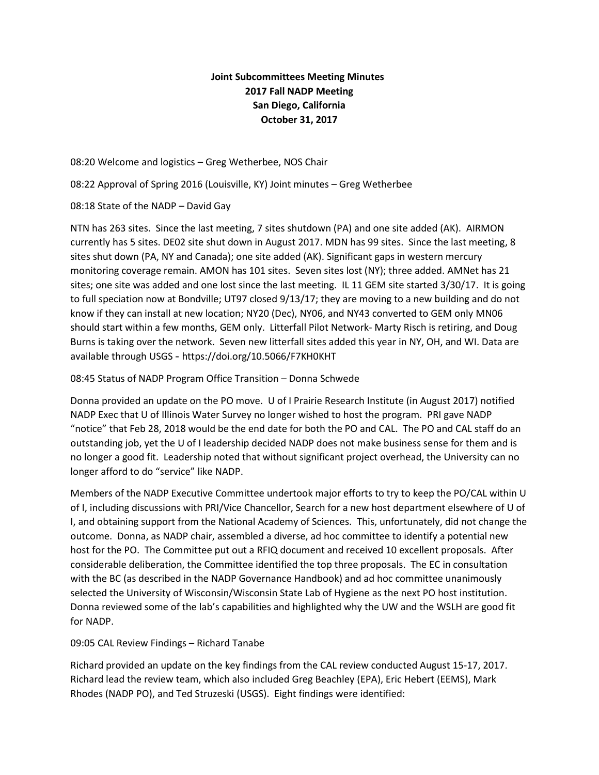## **Joint Subcommittees Meeting Minutes 2017 Fall NADP Meeting San Diego, California October 31, 2017**

08:20 Welcome and logistics – Greg Wetherbee, NOS Chair

08:22 Approval of Spring 2016 (Louisville, KY) Joint minutes – Greg Wetherbee

08:18 State of the NADP – David Gay

NTN has 263 sites. Since the last meeting, 7 sites shutdown (PA) and one site added (AK). AIRMON currently has 5 sites. DE02 site shut down in August 2017. MDN has 99 sites. Since the last meeting, 8 sites shut down (PA, NY and Canada); one site added (AK). Significant gaps in western mercury monitoring coverage remain. AMON has 101 sites. Seven sites lost (NY); three added. AMNet has 21 sites; one site was added and one lost since the last meeting. IL 11 GEM site started 3/30/17. It is going to full speciation now at Bondville; UT97 closed 9/13/17; they are moving to a new building and do not know if they can install at new location; NY20 (Dec), NY06, and NY43 converted to GEM only MN06 should start within a few months, GEM only. Litterfall Pilot Network- Marty Risch is retiring, and Doug Burns is taking over the network. Seven new litterfall sites added this year in NY, OH, and WI. Data are available through USGS - https://doi.org/10.5066/F7KH0KHT

08:45 Status of NADP Program Office Transition – Donna Schwede

Donna provided an update on the PO move. U of I Prairie Research Institute (in August 2017) notified NADP Exec that U of Illinois Water Survey no longer wished to host the program. PRI gave NADP "notice" that Feb 28, 2018 would be the end date for both the PO and CAL. The PO and CAL staff do an outstanding job, yet the U of I leadership decided NADP does not make business sense for them and is no longer a good fit. Leadership noted that without significant project overhead, the University can no longer afford to do "service" like NADP.

Members of the NADP Executive Committee undertook major efforts to try to keep the PO/CAL within U of I, including discussions with PRI/Vice Chancellor, Search for a new host department elsewhere of U of I, and obtaining support from the National Academy of Sciences. This, unfortunately, did not change the outcome. Donna, as NADP chair, assembled a diverse, ad hoc committee to identify a potential new host for the PO. The Committee put out a RFIQ document and received 10 excellent proposals. After considerable deliberation, the Committee identified the top three proposals. The EC in consultation with the BC (as described in the NADP Governance Handbook) and ad hoc committee unanimously selected the University of Wisconsin/Wisconsin State Lab of Hygiene as the next PO host institution. Donna reviewed some of the lab's capabilities and highlighted why the UW and the WSLH are good fit for NADP.

09:05 CAL Review Findings – Richard Tanabe

Richard provided an update on the key findings from the CAL review conducted August 15-17, 2017. Richard lead the review team, which also included Greg Beachley (EPA), Eric Hebert (EEMS), Mark Rhodes (NADP PO), and Ted Struzeski (USGS). Eight findings were identified: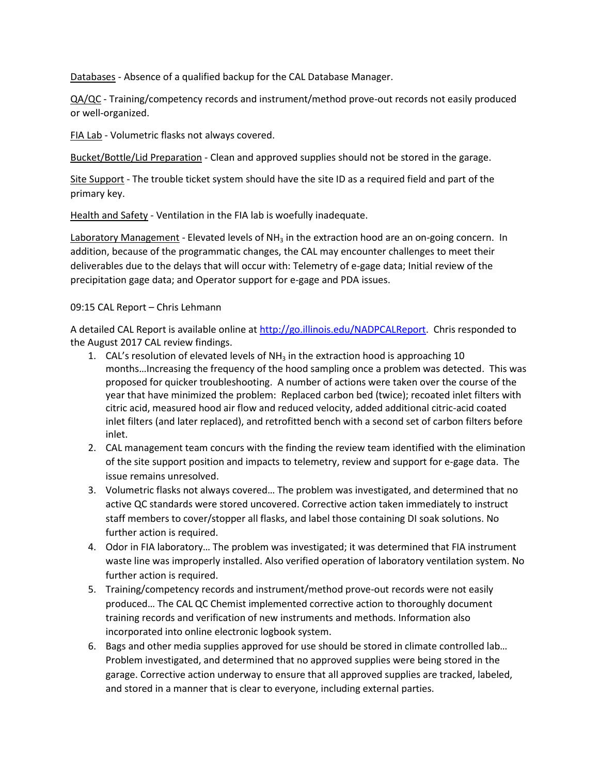Databases - Absence of a qualified backup for the CAL Database Manager.

QA/QC - Training/competency records and instrument/method prove-out records not easily produced or well-organized.

FIA Lab - Volumetric flasks not always covered.

Bucket/Bottle/Lid Preparation - Clean and approved supplies should not be stored in the garage.

Site Support - The trouble ticket system should have the site ID as a required field and part of the primary key.

Health and Safety - Ventilation in the FIA lab is woefully inadequate.

Laboratory Management - Elevated levels of  $NH<sub>3</sub>$  in the extraction hood are an on-going concern. In addition, because of the programmatic changes, the CAL may encounter challenges to meet their deliverables due to the delays that will occur with: Telemetry of e-gage data; Initial review of the precipitation gage data; and Operator support for e-gage and PDA issues.

## 09:15 CAL Report – Chris Lehmann

A detailed CAL Report is available online a[t http://go.illinois.edu/NADPCALReport.](http://go.illinois.edu/NADPCALReport) Chris responded to the August 2017 CAL review findings.

- 1. CAL's resolution of elevated levels of  $NH<sub>3</sub>$  in the extraction hood is approaching 10 months…Increasing the frequency of the hood sampling once a problem was detected. This was proposed for quicker troubleshooting. A number of actions were taken over the course of the year that have minimized the problem: Replaced carbon bed (twice); recoated inlet filters with citric acid, measured hood air flow and reduced velocity, added additional citric-acid coated inlet filters (and later replaced), and retrofitted bench with a second set of carbon filters before inlet.
- 2. CAL management team concurs with the finding the review team identified with the elimination of the site support position and impacts to telemetry, review and support for e-gage data. The issue remains unresolved.
- 3. Volumetric flasks not always covered… The problem was investigated, and determined that no active QC standards were stored uncovered. Corrective action taken immediately to instruct staff members to cover/stopper all flasks, and label those containing DI soak solutions. No further action is required.
- 4. Odor in FIA laboratory… The problem was investigated; it was determined that FIA instrument waste line was improperly installed. Also verified operation of laboratory ventilation system. No further action is required.
- 5. Training/competency records and instrument/method prove-out records were not easily produced… The CAL QC Chemist implemented corrective action to thoroughly document training records and verification of new instruments and methods. Information also incorporated into online electronic logbook system.
- 6. Bags and other media supplies approved for use should be stored in climate controlled lab… Problem investigated, and determined that no approved supplies were being stored in the garage. Corrective action underway to ensure that all approved supplies are tracked, labeled, and stored in a manner that is clear to everyone, including external parties.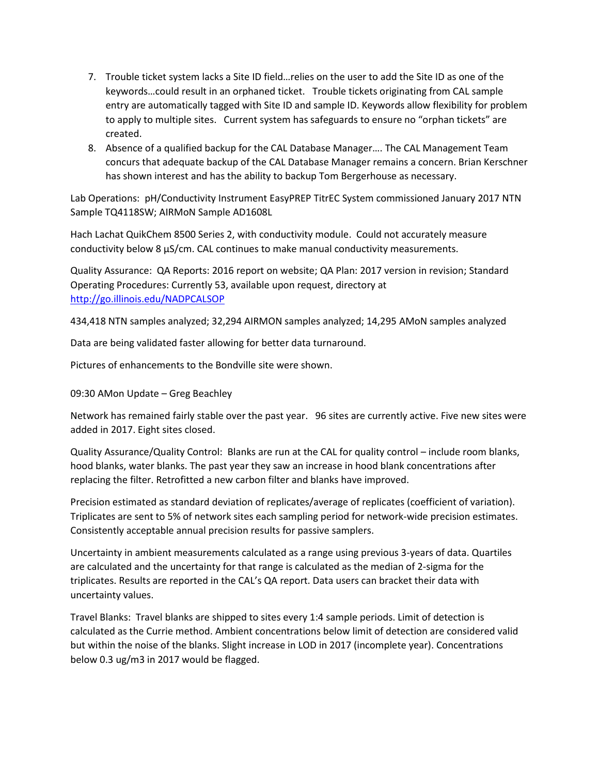- 7. Trouble ticket system lacks a Site ID field…relies on the user to add the Site ID as one of the keywords…could result in an orphaned ticket. Trouble tickets originating from CAL sample entry are automatically tagged with Site ID and sample ID. Keywords allow flexibility for problem to apply to multiple sites. Current system has safeguards to ensure no "orphan tickets" are created.
- 8. Absence of a qualified backup for the CAL Database Manager…. The CAL Management Team concurs that adequate backup of the CAL Database Manager remains a concern. Brian Kerschner has shown interest and has the ability to backup Tom Bergerhouse as necessary.

Lab Operations: pH/Conductivity Instrument EasyPREP TitrEC System commissioned January 2017 NTN Sample TQ4118SW; AIRMoN Sample AD1608L

Hach Lachat QuikChem 8500 Series 2, with conductivity module. Could not accurately measure conductivity below 8 µS/cm. CAL continues to make manual conductivity measurements.

Quality Assurance: QA Reports: 2016 report on website; QA Plan: 2017 version in revision; Standard Operating Procedures: Currently 53, available upon request, directory at <http://go.illinois.edu/NADPCALSOP>

434,418 NTN samples analyzed; 32,294 AIRMON samples analyzed; 14,295 AMoN samples analyzed

Data are being validated faster allowing for better data turnaround.

Pictures of enhancements to the Bondville site were shown.

09:30 AMon Update – Greg Beachley

Network has remained fairly stable over the past year. 96 sites are currently active. Five new sites were added in 2017. Eight sites closed.

Quality Assurance/Quality Control: Blanks are run at the CAL for quality control – include room blanks, hood blanks, water blanks. The past year they saw an increase in hood blank concentrations after replacing the filter. Retrofitted a new carbon filter and blanks have improved.

Precision estimated as standard deviation of replicates/average of replicates (coefficient of variation). Triplicates are sent to 5% of network sites each sampling period for network-wide precision estimates. Consistently acceptable annual precision results for passive samplers.

Uncertainty in ambient measurements calculated as a range using previous 3-years of data. Quartiles are calculated and the uncertainty for that range is calculated as the median of 2-sigma for the triplicates. Results are reported in the CAL's QA report. Data users can bracket their data with uncertainty values.

Travel Blanks: Travel blanks are shipped to sites every 1:4 sample periods. Limit of detection is calculated as the Currie method. Ambient concentrations below limit of detection are considered valid but within the noise of the blanks. Slight increase in LOD in 2017 (incomplete year). Concentrations below 0.3 ug/m3 in 2017 would be flagged.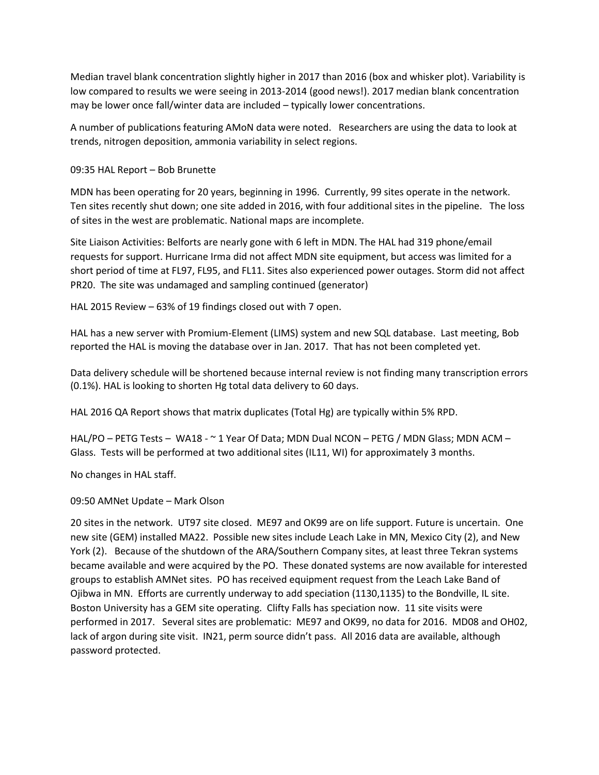Median travel blank concentration slightly higher in 2017 than 2016 (box and whisker plot). Variability is low compared to results we were seeing in 2013-2014 (good news!). 2017 median blank concentration may be lower once fall/winter data are included – typically lower concentrations.

A number of publications featuring AMoN data were noted. Researchers are using the data to look at trends, nitrogen deposition, ammonia variability in select regions.

09:35 HAL Report – Bob Brunette

MDN has been operating for 20 years, beginning in 1996. Currently, 99 sites operate in the network. Ten sites recently shut down; one site added in 2016, with four additional sites in the pipeline. The loss of sites in the west are problematic. National maps are incomplete.

Site Liaison Activities: Belforts are nearly gone with 6 left in MDN. The HAL had 319 phone/email requests for support. Hurricane Irma did not affect MDN site equipment, but access was limited for a short period of time at FL97, FL95, and FL11. Sites also experienced power outages. Storm did not affect PR20. The site was undamaged and sampling continued (generator)

HAL 2015 Review – 63% of 19 findings closed out with 7 open.

HAL has a new server with Promium-Element (LIMS) system and new SQL database. Last meeting, Bob reported the HAL is moving the database over in Jan. 2017. That has not been completed yet.

Data delivery schedule will be shortened because internal review is not finding many transcription errors (0.1%). HAL is looking to shorten Hg total data delivery to 60 days.

HAL 2016 QA Report shows that matrix duplicates (Total Hg) are typically within 5% RPD.

HAL/PO – PETG Tests – WA18 - ~ 1 Year Of Data; MDN Dual NCON – PETG / MDN Glass; MDN ACM – Glass. Tests will be performed at two additional sites (IL11, WI) for approximately 3 months.

No changes in HAL staff.

09:50 AMNet Update – Mark Olson

20 sites in the network. UT97 site closed. ME97 and OK99 are on life support. Future is uncertain. One new site (GEM) installed MA22. Possible new sites include Leach Lake in MN, Mexico City (2), and New York (2). Because of the shutdown of the ARA/Southern Company sites, at least three Tekran systems became available and were acquired by the PO. These donated systems are now available for interested groups to establish AMNet sites. PO has received equipment request from the Leach Lake Band of Ojibwa in MN. Efforts are currently underway to add speciation (1130,1135) to the Bondville, IL site. Boston University has a GEM site operating. Clifty Falls has speciation now. 11 site visits were performed in 2017. Several sites are problematic: ME97 and OK99, no data for 2016. MD08 and OH02, lack of argon during site visit. IN21, perm source didn't pass. All 2016 data are available, although password protected.